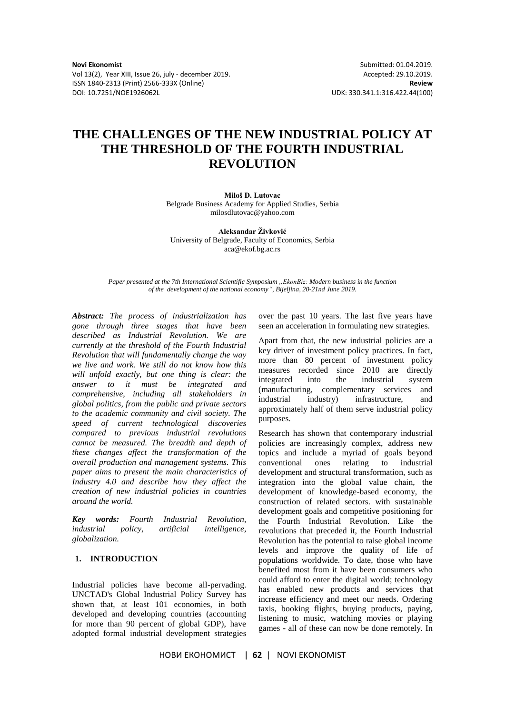Vol 13(2), Year XIII, Issue 26, july - december 2019. Accepted: 29.10.2019. ISSN 1840-2313 (Print) 2566-333X (Online) **Review** DOI: 10.7251/NOE1926062L UDK: 330.341.1:316.422.44(100)

**Novi Ekonomist** Submitted: 01.04.2019.

# **THE CHALLENGES OF THE NEW INDUSTRIAL POLICY AT THE THRESHOLD OF THE FOURTH INDUSTRIAL REVOLUTION**

**Miloš D. Lutovac** Belgrade Business Academy for Applied Studies, Serbia

milosdlutovac@yahoo.com **Aleksandar Živković**

University of Belgrade, Faculty of Economics, Serbia aca@ekof.bg.ac.rs

*Paper presented at the 7th International Scientific Symposium "EkonBiz: Modern business in the function of the development of the national economy", Bijeljina, 20-21nd June 2019.*

*Abstract: The process of industrialization has gone through three stages that have been described as Industrial Revolution. We are currently at the threshold of the Fourth Industrial Revolution that will fundamentally change the way we live and work. We still do not know how this will unfold exactly, but one thing is clear: the answer to it must be integrated and comprehensive, including all stakeholders in global politics, from the public and private sectors to the academic community and civil society. The speed of current technological discoveries compared to previous industrial revolutions cannot be measured. The breadth and depth of these changes affect the transformation of the overall production and management systems. This paper aims to present the main characteristics of Industry 4.0 and describe how they affect the creation of new industrial policies in countries around the world.*

*Key words: Fourth Industrial Revolution, industrial policy, artificial intelligence, globalization.*

# **1. INTRODUCTION**

Industrial policies have become all-pervading. UNCTAD's Global Industrial Policy Survey has shown that, at least 101 economies, in both developed and developing countries (accounting for more than 90 percent of global GDP), have adopted formal industrial development strategies

over the past 10 years. The last five years have seen an acceleration in formulating new strategies.

Apart from that, the new industrial policies are a key driver of investment policy practices. In fact, more than 80 percent of investment policy measures recorded since 2010 are directly integrated into the industrial system (manufacturing, complementary services and industrial industry) infrastructure, and approximately half of them serve industrial policy purposes.

Research has shown that contemporary industrial policies are increasingly complex, address new topics and include a myriad of goals beyond conventional ones relating to industrial development and structural transformation, such as integration into the global value chain, the development of knowledge-based economy, the construction of related sectors. with sustainable development goals and competitive positioning for the Fourth Industrial Revolution. Like the revolutions that preceded it, the Fourth Industrial Revolution has the potential to raise global income levels and improve the quality of life of populations worldwide. To date, those who have benefited most from it have been consumers who could afford to enter the digital world; technology has enabled new products and services that increase efficiency and meet our needs. Ordering taxis, booking flights, buying products, paying, listening to music, watching movies or playing games - all of these can now be done remotely. In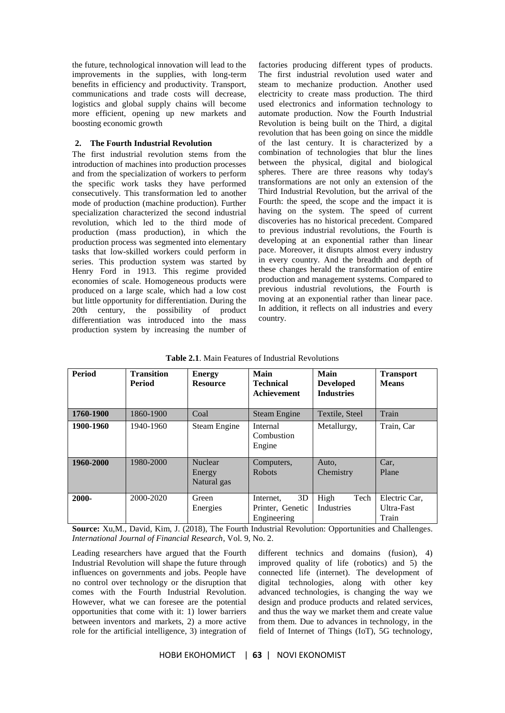the future, technological innovation will lead to the improvements in the supplies, with long-term benefits in efficiency and productivity. Transport, communications and trade costs will decrease, logistics and global supply chains will become more efficient, opening up new markets and boosting economic growth

### **2. The Fourth Industrial Revolution**

The first industrial revolution stems from the introduction of machines into production processes and from the specialization of workers to perform the specific work tasks they have performed consecutively. This transformation led to another mode of production (machine production). Further specialization characterized the second industrial revolution, which led to the third mode of production (mass production), in which the production process was segmented into elementary tasks that low-skilled workers could perform in series. This production system was started by Henry Ford in 1913. This regime provided economies of scale. Homogeneous products were produced on a large scale, which had a low cost but little opportunity for differentiation. During the 20th century, the possibility of product differentiation was introduced into the mass production system by increasing the number of factories producing different types of products. The first industrial revolution used water and steam to mechanize production. Another used electricity to create mass production. The third used electronics and information technology to automate production. Now the Fourth Industrial Revolution is being built on the Third, a digital revolution that has been going on since the middle of the last century. It is characterized by a combination of technologies that blur the lines between the physical, digital and biological spheres. There are three reasons why today's transformations are not only an extension of the Third Industrial Revolution, but the arrival of the Fourth: the speed, the scope and the impact it is having on the system. The speed of current discoveries has no historical precedent. Compared to previous industrial revolutions, the Fourth is developing at an exponential rather than linear pace. Moreover, it disrupts almost every industry in every country. And the breadth and depth of these changes herald the transformation of entire production and management systems. Compared to previous industrial revolutions, the Fourth is moving at an exponential rather than linear pace. In addition, it reflects on all industries and every country.

| Period    | <b>Transition</b><br><b>Period</b> | <b>Energy</b><br><b>Resource</b>        | Main<br><b>Technical</b><br><b>Achievement</b>     | Main<br><b>Developed</b><br><b>Industries</b> | <b>Transport</b><br><b>Means</b>     |
|-----------|------------------------------------|-----------------------------------------|----------------------------------------------------|-----------------------------------------------|--------------------------------------|
| 1760-1900 | 1860-1900                          | Coal                                    | Steam Engine                                       | Textile, Steel                                | Train                                |
| 1900-1960 | 1940-1960                          | Steam Engine                            | Internal<br>Combustion<br>Engine                   | Metallurgy,                                   | Train, Car                           |
| 1960-2000 | 1980-2000                          | <b>Nuclear</b><br>Energy<br>Natural gas | Computers,<br><b>Robots</b>                        | Auto,<br>Chemistry                            | Car,<br>Plane                        |
| 2000-     | 2000-2020                          | Green<br>Energies                       | 3D<br>Internet.<br>Printer, Genetic<br>Engineering | High<br>Tech<br>Industries                    | Electric Car.<br>Ultra-Fast<br>Train |

**Table 2.1**. Main Features of Industrial Revolutions

**Source:** Xu,M., David, Kim, J. (2018), The Fourth Industrial Revolution: Opportunities and Challenges. *International Journal of Financial Research*, Vol. 9, No. 2.

Leading researchers have argued that the Fourth Industrial Revolution will shape the future through influences on governments and jobs. People have no control over technology or the disruption that comes with the Fourth Industrial Revolution. However, what we can foresee are the potential opportunities that come with it: 1) lower barriers between inventors and markets, 2) a more active role for the artificial intelligence, 3) integration of

different technics and domains (fusion), 4) improved quality of life (robotics) and 5) the connected life (internet). The development of digital technologies, along with other key advanced technologies, is changing the way we design and produce products and related services, and thus the way we market them and create value from them. Due to advances in technology, in the field of Internet of Things (IoT), 5G technology,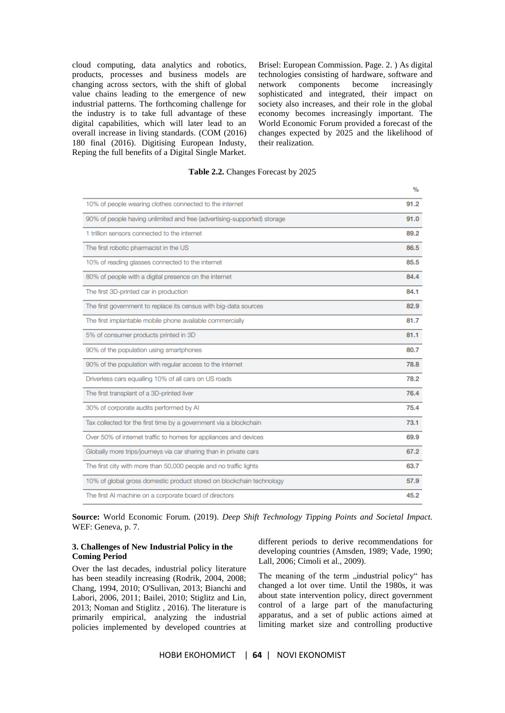cloud computing, data analytics and robotics, products, processes and business models are changing across sectors, with the shift of global value chains leading to the emergence of new industrial patterns. The forthcoming challenge for the industry is to take full advantage of these digital capabilities, which will later lead to an overall increase in living standards. (COM (2016) 180 final (2016). Digitising European Industy, Reping the full benefits of a Digital Single Market. Brisel: European Commission. Page. 2. ) As digital technologies consisting of hardware, software and network components become increasingly sophisticated and integrated, their impact on society also increases, and their role in the global economy becomes increasingly important. The World Economic Forum provided a forecast of the changes expected by 2025 and the likelihood of their realization.

# **Table 2.2.** Changes Forecast by 2025

|                                                                         | $\gamma_0$ |
|-------------------------------------------------------------------------|------------|
| 10% of people wearing clothes connected to the internet                 | 91.2       |
| 90% of people having unlimited and free (advertising-supported) storage | 91.0       |
| 1 trillion sensors connected to the internet                            | 89.2       |
| The first robotic pharmacist in the US                                  | 86.5       |
| 10% of reading glasses connected to the internet                        | 85.5       |
| 80% of people with a digital presence on the internet                   | 84.4       |
| The first 3D-printed car in production                                  | 84.1       |
| The first government to replace its census with big-data sources        | 82.9       |
| The first implantable mobile phone available commercially               | 81.7       |
| 5% of consumer products printed in 3D                                   | 81.1       |
| 90% of the population using smartphones                                 | 80.7       |
| 90% of the population with regular access to the internet               | 78.8       |
| Driverless cars equalling 10% of all cars on US roads                   | 78.2       |
| The first transplant of a 3D-printed liver                              | 76.4       |
| 30% of corporate audits performed by Al                                 | 75.4       |
| Tax collected for the first time by a government via a blockchain       | 73.1       |
| Over 50% of internet traffic to homes for appliances and devices        | 69.9       |
| Globally more trips/journeys via car sharing than in private cars       | 67.2       |
| The first city with more than 50,000 people and no traffic lights       | 63.7       |
| 10% of global gross domestic product stored on blockchain technology    | 57.9       |
| The first AI machine on a corporate board of directors                  | 45.2       |

**Source:** World Economic Forum. (2019). *Deep Shift Technology Tipping Points and Societal Impact.* WEF: Geneva, p. 7.

### **3. Challenges of New Industrial Policy in the Coming Period**

Over the last decades, industrial policy literature has been steadily increasing (Rodrik, 2004, 2008; Chang, 1994, 2010; O'Sullivan, 2013; Bianchi and Labori, 2006, 2011; Bailei, 2010; Stiglitz and Lin, 2013; Noman and Stiglitz , 2016). The literature is primarily empirical, analyzing the industrial policies implemented by developed countries at different periods to derive recommendations for developing countries (Amsden, 1989; Vade, 1990; Lall, 2006; Cimoli et al., 2009).

The meaning of the term "industrial policy" has changed a lot over time. Until the 1980s, it was about state intervention policy, direct government control of a large part of the manufacturing apparatus, and a set of public actions aimed at limiting market size and controlling productive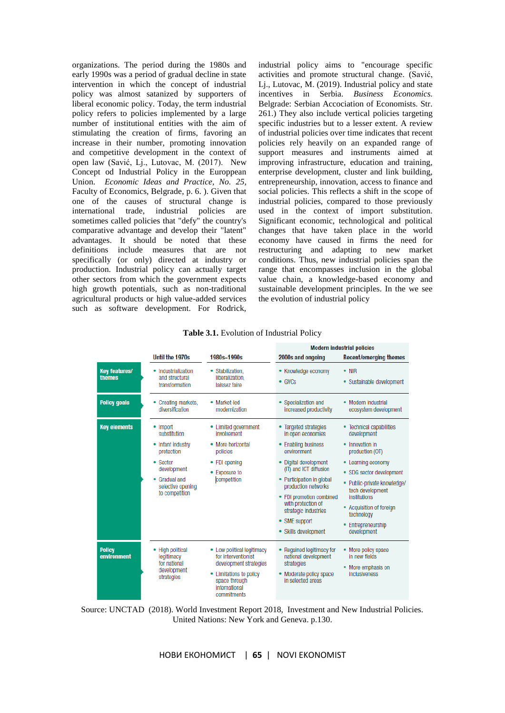organizations. The period during the 1980s and early 1990s was a period of gradual decline in state intervention in which the concept of industrial policy was almost satanized by supporters of liberal economic policy. Today, the term industrial policy refers to policies implemented by a large number of institutional entities with the aim of stimulating the creation of firms, favoring an increase in their number, promoting innovation and competitive development in the context of open law (Savić, Lj., Lutovac, M. (2017). New Concept od Industrial Policy in the Europpean Union. *Economic Ideas and Practice, No. 25,*  Faculty of Economics, Belgrade, p. 6. ). Given that one of the causes of structural change is international trade, industrial policies are sometimes called policies that "defy" the country's comparative advantage and develop their "latent" advantages. It should be noted that these definitions include measures that are not specifically (or only) directed at industry or production. Industrial policy can actually target other sectors from which the government expects high growth potentials, such as non-traditional agricultural products or high value-added services such as software development. For Rodrick,

industrial policy aims to "encourage specific activities and promote structural change. (Savić, Lj., Lutovac, M. (2019). Industrial policy and state incentives in Serbia. *Business Economics.* Belgrade: Serbian Accociation of Economists. Str. 261.) They also include vertical policies targeting specific industries but to a lesser extent. A review of industrial policies over time indicates that recent policies rely heavily on an expanded range of support measures and instruments aimed at improving infrastructure, education and training, enterprise development, cluster and link building, entrepreneurship, innovation, access to finance and social policies. This reflects a shift in the scope of industrial policies, compared to those previously used in the context of import substitution. Significant economic, technological and political changes that have taken place in the world economy have caused in firms the need for restructuring and adapting to new market conditions. Thus, new industrial policies span the range that encompasses inclusion in the global value chain, a knowledge-based economy and sustainable development principles. In the we see the evolution of industrial policy

|                                |                                                                                                                                              |                                                                                                                                                       | <b>Modern industrial policies</b>                                                                                                                                                                                                                                                                            |                                                                                                                                                                                                                                                                                   |  |
|--------------------------------|----------------------------------------------------------------------------------------------------------------------------------------------|-------------------------------------------------------------------------------------------------------------------------------------------------------|--------------------------------------------------------------------------------------------------------------------------------------------------------------------------------------------------------------------------------------------------------------------------------------------------------------|-----------------------------------------------------------------------------------------------------------------------------------------------------------------------------------------------------------------------------------------------------------------------------------|--|
|                                | Until the 1970s                                                                                                                              | 1980s-1990s                                                                                                                                           | 2000s and ongoing                                                                                                                                                                                                                                                                                            | <b>Recent/emerging themes</b>                                                                                                                                                                                                                                                     |  |
| <b>Key features/</b><br>themes | • Industrialization<br>and structural<br>transformation                                                                                      | • Stabilization,<br>liberalization.<br>laissez faire                                                                                                  | • Knowledge economy<br>$\bullet$ GVCs                                                                                                                                                                                                                                                                        | $\bullet$ NIR<br>• Sustainable development                                                                                                                                                                                                                                        |  |
| <b>Policy goals</b>            | • Creating markets,<br>diversification                                                                                                       | • Market-led<br>modernization                                                                                                                         | • Specialization and<br>increased productivity                                                                                                                                                                                                                                                               | • Modern industrial<br>ecosystem development                                                                                                                                                                                                                                      |  |
| <b>Key elements</b>            | • Import<br>substitution<br>• Infant industry<br>protection<br>• Sector<br>development<br>Gradual and<br>selective opening<br>to competition | Limited government<br>involvement<br>More horizontal<br>policies<br>FDI opening<br>• Exposure to<br>competition                                       | <b>Targeted strategies</b><br>in open economies<br><b>Enabling business</b><br>environment<br>Digital development<br>(IT) and ICT diffusion<br>Participation in global<br>production networks<br>FDI promotion combined<br>with protection of<br>strategic industries<br>SME support<br>• Skills development | • Technical capabilities<br>development<br>• Innovation in<br>production (OT)<br>• Learning economy<br>• SDG sector development<br>• Public-private knowledge/<br>tech development<br>institutions<br>• Acquisition of foreign<br>technology<br>• Entrepreneurship<br>development |  |
| <b>Policy</b><br>environment   | • High political<br>legitimacy<br>for national<br>development<br>strategies                                                                  | • Low political legitimacy<br>for interventionist<br>development strategies<br>Limitations to policy<br>space through<br>international<br>commitments | Regained legitimacy for<br>national development<br>strategies<br>Moderate policy space<br>in selected areas                                                                                                                                                                                                  | • More policy space<br>in new fields<br>• More emphasis on<br>inclusiveness                                                                                                                                                                                                       |  |

**Table 3.1.** Evolution of Industrial Policy

Source: UNCTAD (2018). World Investment Report 2018, Investment and New Industrial Policies. United Nations: New York and Geneva. p.130.

НОВИ ЕКОНОМИСТ | **65** | NOVI EKONOMIST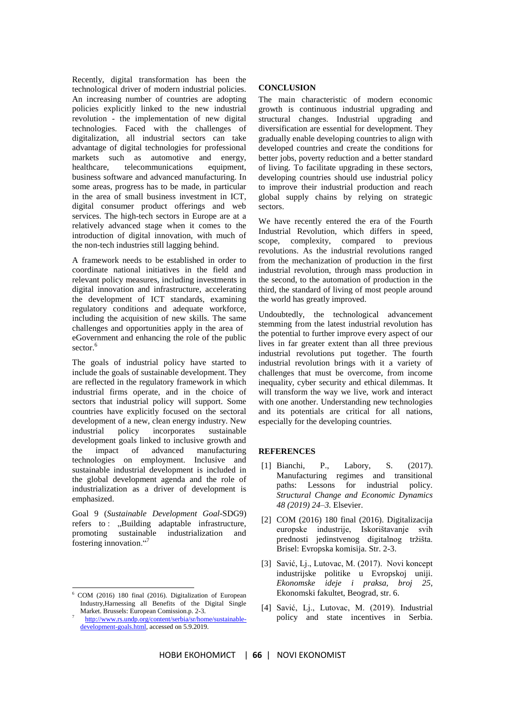Recently, digital transformation has been the technological driver of modern industrial policies. An increasing number of countries are adopting policies explicitly linked to the new industrial revolution - the implementation of new digital technologies. Faced with the challenges of digitalization, all industrial sectors can take advantage of digital technologies for professional markets such as automotive and energy,<br>healthcare, telecommunications equipment. healthcare, telecommunications business software and advanced manufacturing. In some areas, progress has to be made, in particular in the area of small business investment in ICT, digital consumer product offerings and web services. The high-tech sectors in Europe are at a relatively advanced stage when it comes to the introduction of digital innovation, with much of the non-tech industries still lagging behind.

A framework needs to be established in order to coordinate national initiatives in the field and relevant policy measures, including investments in digital innovation and infrastructure, accelerating the development of ICT standards, examining regulatory conditions and adequate workforce, including the acquisition of new skills. The same challenges and opportunities apply in the area of eGovernment and enhancing the role of the public sector.<sup>6</sup>

The goals of industrial policy have started to include the goals of sustainable development. They are reflected in the regulatory framework in which industrial firms operate, and in the choice of sectors that industrial policy will support. Some countries have explicitly focused on the sectoral development of a new, clean energy industry. New industrial policy incorporates sustainable development goals linked to inclusive growth and the impact of advanced manufacturing technologies on employment. Inclusive and sustainable industrial development is included in the global development agenda and the role of industrialization as a driver of development is emphasized.

Goal 9 (*Sustainable Development Goal*-SDG9) refers to : "Building adaptable infrastructure, promoting sustainable industrialization and fostering innovation."<sup>7</sup>

-

# **CONCLUSION**

The main characteristic of modern economic growth is continuous industrial upgrading and structural changes. Industrial upgrading and diversification are essential for development. They gradually enable developing countries to align with developed countries and create the conditions for better jobs, poverty reduction and a better standard of living. To facilitate upgrading in these sectors, developing countries should use industrial policy to improve their industrial production and reach global supply chains by relying on strategic sectors.

We have recently entered the era of the Fourth Industrial Revolution, which differs in speed, scope, complexity, compared to previous revolutions. As the industrial revolutions ranged from the mechanization of production in the first industrial revolution, through mass production in the second, to the automation of production in the third, the standard of living of most people around the world has greatly improved.

Undoubtedly, the technological advancement stemming from the latest industrial revolution has the potential to further improve every aspect of our lives in far greater extent than all three previous industrial revolutions put together. The fourth industrial revolution brings with it a variety of challenges that must be overcome, from income inequality, cyber security and ethical dilemmas. It will transform the way we live, work and interact with one another. Understanding new technologies and its potentials are critical for all nations, especially for the developing countries.

#### **REFERENCES**

- [1] Bianchi, P., Labory, S. (2017). Manufacturing regimes and transitional paths: Lessons for industrial policy. *Structural Change and Economic Dynamics 48 (2019) 24–3.* Elsevier.
- [2] COM (2016) 180 final (2016). Digitalizacija europske industrije, Iskorištavanje svih prednosti jedinstvenog digitalnog tržišta. Brisel: Evropska komisija. Str. 2-3.
- [3] Savić, Lj., Lutovac, M. (2017). Novi koncept industrijske politike u Evropskoj uniji. *Ekonomske ideje i praksa, broj 25,*  Ekonomski fakultet, Beograd, str. 6.
- [4] Savić, Lj., Lutovac, M. (2019). Industrial policy and state incentives in Serbia.

<sup>6</sup> COM (2016) 180 final (2016). Digitalization of European Industry,Harnessing all Benefits of the Digital Single Market. Brussels: European Comission.p. 2-3.

<sup>7</sup> [http://www.rs.undp.org/content/serbia/sr/home/sustainable](http://www.rs.undp.org/content/serbia/sr/home/sustainable-development-goals.html)[development-goals.html,](http://www.rs.undp.org/content/serbia/sr/home/sustainable-development-goals.html) accessed on 5.9.2019.